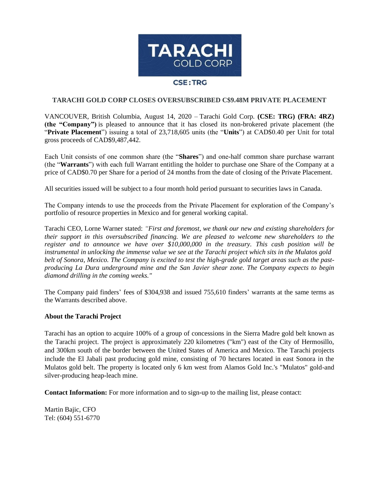

## **TARACHI GOLD CORP CLOSES OVERSUBSCRIBED C\$9.48M PRIVATE PLACEMENT**

VANCOUVER, British Columbia, August 14, 2020 – Tarachi Gold Corp. **(CSE: TRG) (FRA: 4RZ) (the "Company")** is pleased to announce that it has closed its non-brokered private placement (the "**Private Placement**") issuing a total of 23,718,605 units (the "**Units**") at CAD\$0.40 per Unit for total gross proceeds of CAD\$9,487,442.

Each Unit consists of one common share (the "**Shares**") and one-half common share purchase warrant (the "**Warrants**") with each full Warrant entitling the holder to purchase one Share of the Company at a price of CAD\$0.70 per Share for a period of 24 months from the date of closing of the Private Placement.

All securities issued will be subject to a four month hold period pursuant to securities laws in Canada.

The Company intends to use the proceeds from the Private Placement for exploration of the Company's portfolio of resource properties in Mexico and for general working capital.

Tarachi CEO, Lorne Warner stated: *"First and foremost, we thank our new and existing shareholders for their support in this oversubscribed financing. We are pleased to welcome new shareholders to the register and to announce we have over \$10,000,000 in the treasury. This cash position will be instrumental in unlocking the immense value we see at the Tarachi project which sits in the Mulatos gold belt of Sonora, Mexico. The Company is excited to test the high-grade gold target areas such as the pastproducing La Dura underground mine and the San Javier shear zone. The Company expects to begin diamond drilling in the coming weeks."*

The Company paid finders' fees of \$304,938 and issued 755,610 finders' warrants at the same terms as the Warrants described above.

## **About the Tarachi Project**

Tarachi has an option to acquire 100% of a group of concessions in the Sierra Madre gold belt known as the Tarachi project. The project is approximately 220 kilometres ("km") east of the City of Hermosillo, and 300km south of the border between the United States of America and Mexico. The Tarachi projects include the El Jabali past producing gold mine, consisting of 70 hectares located in east Sonora in the Mulatos gold belt. The property is located only 6 km west from Alamos Gold Inc.'s "Mulatos" gold-and silver-producing heap-leach mine.

**Contact Information:** For more information and to sign-up to the mailing list, please contact:

Martin Bajic, CFO Tel: (604) 551-6770